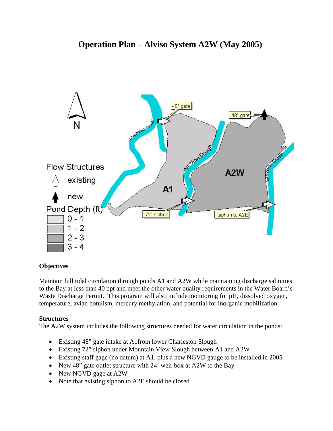

# **Objectives**

Maintain full tidal circulation through ponds A1 and A2W while maintaining discharge salinities to the Bay at less than 40 ppt and meet the other water quality requirements in the Water Board's Waste Discharge Permit. This program will also include monitoring for pH, dissolved oxygen, temperature, avian botulism, mercury methylation, and potential for inorganic mobilization.

# **Structures**

The A2W system includes the following structures needed for water circulation in the ponds:

- Existing 48" gate intake at A1from lower Charleston Slough
- Existing 72" siphon under Mountain View Slough between A1 and A2W
- Existing staff gage (no datum) at A1, plus a new NGVD gauge to be installed in 2005
- New 48" gate outlet structure with 24' weir box at A2W to the Bay
- New NGVD gage at A2W
- Note that existing siphon to A2E should be closed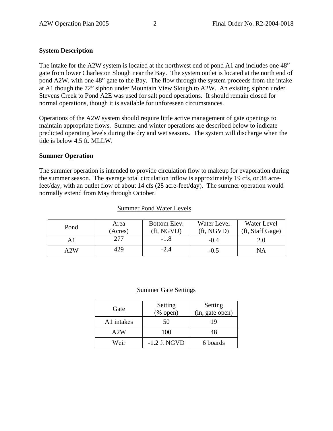# **System Description**

The intake for the A2W system is located at the northwest end of pond A1 and includes one 48" gate from lower Charleston Slough near the Bay. The system outlet is located at the north end of pond A2W, with one 48" gate to the Bay. The flow through the system proceeds from the intake at A1 though the 72" siphon under Mountain View Slough to A2W. An existing siphon under Stevens Creek to Pond A2E was used for salt pond operations. It should remain closed for normal operations, though it is available for unforeseen circumstances.

Operations of the A2W system should require little active management of gate openings to maintain appropriate flows. Summer and winter operations are described below to indicate predicted operating levels during the dry and wet seasons. The system will discharge when the tide is below 4.5 ft. MLLW.

#### **Summer Operation**

The summer operation is intended to provide circulation flow to makeup for evaporation during the summer season. The average total circulation inflow is approximately 19 cfs, or 38 acrefeet/day, with an outlet flow of about 14 cfs (28 acre-feet/day). The summer operation would normally extend from May through October.

| Pond | Area    | Bottom Elev.             | Water Level        | Water Level      |
|------|---------|--------------------------|--------------------|------------------|
|      | (Acres) | $({\rm ft}, {\rm NGVD})$ | $({\rm ft, NGVD})$ | (ft, Staff Gage) |
| ΑI   | 277     | $-1.8$                   | $-0.4$             | 2.0              |
| A2W  | 429     | -2.4                     | $-0.5$             | NΑ               |

#### Summer Pond Water Levels

#### Summer Gate Settings

| Gate       | Setting<br>$(\%$ open) | Setting<br>(in, gate open) |
|------------|------------------------|----------------------------|
| A1 intakes | 50                     | 19                         |
| A2W        | 100                    | 48                         |
| Weir       | $-1.2$ ft NGVD         | 6 boards                   |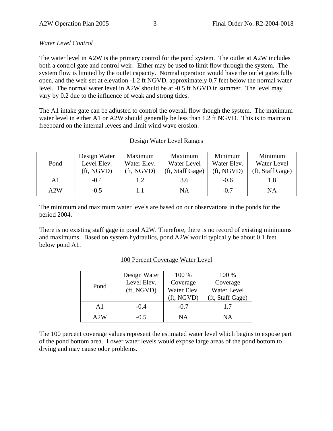# *Water Level Control*

The water level in A2W is the primary control for the pond system. The outlet at A2W includes both a control gate and control weir. Either may be used to limit flow through the system. The system flow is limited by the outlet capacity. Normal operation would have the outlet gates fully open, and the weir set at elevation -1.2 ft NGVD, approximately 0.7 feet below the normal water level. The normal water level in A2W should be at -0.5 ft NGVD in summer. The level may vary by 0.2 due to the influence of weak and strong tides.

The A1 intake gate can be adjusted to control the overall flow though the system. The maximum water level in either A1 or A2W should generally be less than 1.2 ft NGVD. This is to maintain freeboard on the internal levees and limit wind wave erosion.

## Design Water Level Ranges

|      | Design Water | Maximum     | Maximum          | Minimum     | Minimum          |
|------|--------------|-------------|------------------|-------------|------------------|
| Pond | Level Elev.  | Water Elev. | Water Level      | Water Elev. | Water Level      |
|      | (ft, NGVD)   | (ft, NGVD)  | (ft, Staff Gage) | (ft, NGVD)  | (ft, Staff Gage) |
| A1   | $-0.4$       | 1.2         | 3.6              | $-0.6$      |                  |
| A2W  | $-0.5$       |             | NA               | $-0.7$      | NA               |

The minimum and maximum water levels are based on our observations in the ponds for the period 2004.

There is no existing staff gage in pond A2W. Therefore, there is no record of existing minimums and maximums. Based on system hydraulics, pond A2W would typically be about 0.1 feet below pond A1.

#### 100 Percent Coverage Water Level

|      | Design Water             | 100 %       | 100 %            |
|------|--------------------------|-------------|------------------|
| Pond | Level Elev.              | Coverage    | Coverage         |
|      | $({\rm ft}, {\rm NGVD})$ | Water Elev. | Water Level      |
|      |                          | (ft, NGVD)  | (ft, Staff Gage) |
| A1   | $-0.4$                   | $-0.7$      | 1.7              |
| A2W  | $-0.5$                   | ΝA          | NΑ               |

The 100 percent coverage values represent the estimated water level which begins to expose part of the pond bottom area. Lower water levels would expose large areas of the pond bottom to drying and may cause odor problems.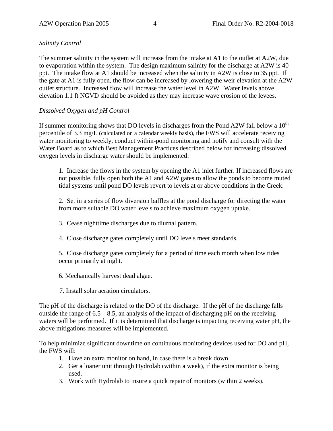# *Salinity Control*

The summer salinity in the system will increase from the intake at A1 to the outlet at A2W, due to evaporation within the system. The design maximum salinity for the discharge at A2W is 40 ppt. The intake flow at A1 should be increased when the salinity in A2W is close to 35 ppt. If the gate at A1 is fully open, the flow can be increased by lowering the weir elevation at the A2W outlet structure. Increased flow will increase the water level in A2W. Water levels above elevation 1.1 ft NGVD should be avoided as they may increase wave erosion of the levees.

# *Dissolved Oxygen and pH Control*

If summer monitoring shows that DO levels in discharges from the Pond A2W fall below a  $10<sup>th</sup>$ percentile of 3.3 mg/L (calculated on a calendar weekly basis), the FWS will accelerate receiving water monitoring to weekly, conduct within-pond monitoring and notify and consult with the Water Board as to which Best Management Practices described below for increasing dissolved oxygen levels in discharge water should be implemented:

1. Increase the flows in the system by opening the A1 inlet further. If increased flows are not possible, fully open both the A1 and A2W gates to allow the ponds to become muted tidal systems until pond DO levels revert to levels at or above conditions in the Creek.

2. Set in a series of flow diversion baffles at the pond discharge for directing the water from more suitable DO water levels to achieve maximum oxygen uptake.

- 3. Cease nighttime discharges due to diurnal pattern.
- 4. Close discharge gates completely until DO levels meet standards.

5. Close discharge gates completely for a period of time each month when low tides occur primarily at night.

- 6. Mechanically harvest dead algae.
- 7. Install solar aeration circulators.

The pH of the discharge is related to the DO of the discharge. If the pH of the discharge falls outside the range of  $6.5 - 8.5$ , an analysis of the impact of discharging pH on the receiving waters will be performed. If it is determined that discharge is impacting receiving water pH, the above mitigations measures will be implemented.

To help minimize significant downtime on continuous monitoring devices used for DO and pH, the FWS will:

- 1. Have an extra monitor on hand, in case there is a break down.
- 2. Get a loaner unit through Hydrolab (within a week), if the extra monitor is being used.
- 3. Work with Hydrolab to insure a quick repair of monitors (within 2 weeks).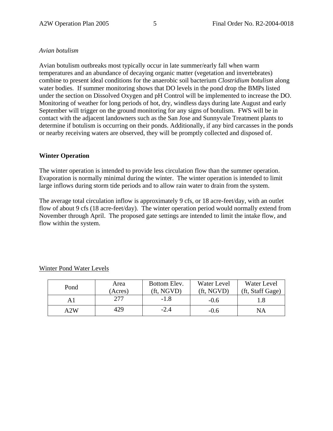#### *Avian botulism*

Avian botulism outbreaks most typically occur in late summer/early fall when warm temperatures and an abundance of decaying organic matter (vegetation and invertebrates) combine to present ideal conditions for the anaerobic soil bacterium *Clostridium botulism* along water bodies. If summer monitoring shows that DO levels in the pond drop the BMPs listed under the section on Dissolved Oxygen and pH Control will be implemented to increase the DO. Monitoring of weather for long periods of hot, dry, windless days during late August and early September will trigger on the ground monitoring for any signs of botulism. FWS will be in contact with the adjacent landowners such as the San Jose and Sunnyvale Treatment plants to determine if botulism is occurring on their ponds. Additionally, if any bird carcasses in the ponds or nearby receiving waters are observed, they will be promptly collected and disposed of.

#### **Winter Operation**

The winter operation is intended to provide less circulation flow than the summer operation. Evaporation is normally minimal during the winter. The winter operation is intended to limit large inflows during storm tide periods and to allow rain water to drain from the system.

The average total circulation inflow is approximately 9 cfs, or 18 acre-feet/day, with an outlet flow of about 9 cfs (18 acre-feet/day). The winter operation period would normally extend from November through April. The proposed gate settings are intended to limit the intake flow, and flow within the system.

| Pond | Area<br>(Acres) | Bottom Elev.<br>(ft, NGVD) | Water Level<br>(ft, NGVD) | Water Level<br>(ft, Staff Gage) |
|------|-----------------|----------------------------|---------------------------|---------------------------------|
|      | 277             | $-1.8$                     | $-0.6$                    |                                 |
| A2W  | 429             | $-2.4$                     | $-0.6$                    | NA                              |

Winter Pond Water Levels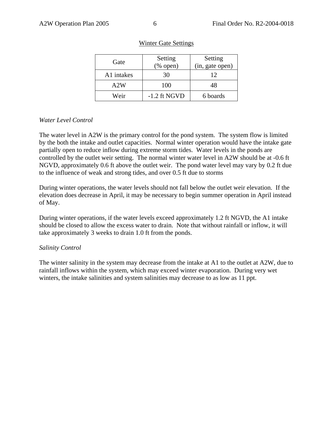| Gate       | Setting<br>$(\%$ open) | Setting<br>(in, gate open) |
|------------|------------------------|----------------------------|
| A1 intakes | 30                     | 12                         |
| A2W        | 100                    | 48                         |
| Weir       | $-1.2$ ft NGVD         | 6 boards                   |

#### Winter Gate Settings

## *Water Level Control*

The water level in A2W is the primary control for the pond system. The system flow is limited by the both the intake and outlet capacities. Normal winter operation would have the intake gate partially open to reduce inflow during extreme storm tides. Water levels in the ponds are controlled by the outlet weir setting. The normal winter water level in A2W should be at -0.6 ft NGVD, approximately 0.6 ft above the outlet weir. The pond water level may vary by 0.2 ft due to the influence of weak and strong tides, and over 0.5 ft due to storms

During winter operations, the water levels should not fall below the outlet weir elevation. If the elevation does decrease in April, it may be necessary to begin summer operation in April instead of May.

During winter operations, if the water levels exceed approximately 1.2 ft NGVD, the A1 intake should be closed to allow the excess water to drain. Note that without rainfall or inflow, it will take approximately 3 weeks to drain 1.0 ft from the ponds.

#### *Salinity Control*

The winter salinity in the system may decrease from the intake at A1 to the outlet at A2W, due to rainfall inflows within the system, which may exceed winter evaporation. During very wet winters, the intake salinities and system salinities may decrease to as low as 11 ppt.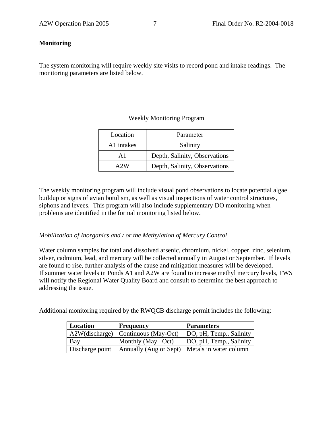#### **Monitoring**

The system monitoring will require weekly site visits to record pond and intake readings. The monitoring parameters are listed below.

#### Weekly Monitoring Program

| Location               | Parameter                     |  |
|------------------------|-------------------------------|--|
| A <sub>1</sub> intakes | Salinity                      |  |
| Αl                     | Depth, Salinity, Observations |  |
| A 2 W                  | Depth, Salinity, Observations |  |

The weekly monitoring program will include visual pond observations to locate potential algae buildup or signs of avian botulism, as well as visual inspections of water control structures, siphons and levees. This program will also include supplementary DO monitoring when problems are identified in the formal monitoring listed below.

#### *Mobilization of Inorganics and / or the Methylation of Mercury Control*

Water column samples for total and dissolved arsenic, chromium, nickel, copper, zinc, selenium, silver, cadmium, lead, and mercury will be collected annually in August or September. If levels are found to rise, further analysis of the cause and mitigation measures will be developed. If summer water levels in Ponds A1 and A2W are found to increase methyl mercury levels, FWS will notify the Regional Water Quality Board and consult to determine the best approach to addressing the issue.

Additional monitoring required by the RWQCB discharge permit includes the following:

| Location        | <b>Frequency</b>                                | <b>Parameters</b>       |
|-----------------|-------------------------------------------------|-------------------------|
|                 | A2W(discharge)   Continuous (May-Oct)           | DO, pH, Temp., Salinity |
| Bay             | Monthly (May $-Oct$ )                           | DO, pH, Temp., Salinity |
| Discharge point | Annually (Aug or Sept)   Metals in water column |                         |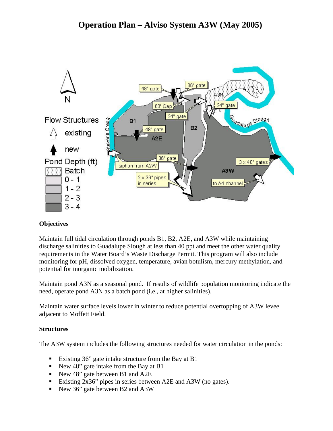

# **Objectives**

Maintain full tidal circulation through ponds B1, B2, A2E, and A3W while maintaining discharge salinities to Guadalupe Slough at less than 40 ppt and meet the other water quality requirements in the Water Board's Waste Discharge Permit. This program will also include monitoring for pH, dissolved oxygen, temperature, avian botulism, mercury methylation, and potential for inorganic mobilization.

Maintain pond A3N as a seasonal pond. If results of wildlife population monitoring indicate the need, operate pond A3N as a batch pond (i.e., at higher salinities).

Maintain water surface levels lower in winter to reduce potential overtopping of A3W levee adjacent to Moffett Field.

# **Structures**

The A3W system includes the following structures needed for water circulation in the ponds:

- Existing 36" gate intake structure from the Bay at B1
- New 48" gate intake from the Bay at B1
- New 48" gate between B1 and A2E
- Existing 2x36" pipes in series between A2E and A3W (no gates).
- New 36" gate between B2 and A3W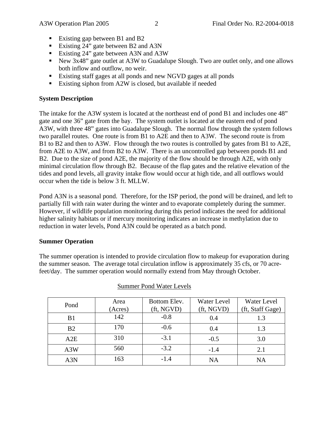- Existing gap between B1 and B2
- Existing 24" gate between B2 and A3N
- Existing 24" gate between A3N and A3W
- New 3x48" gate outlet at A3W to Guadalupe Slough. Two are outlet only, and one allows both inflow and outflow, no weir.
- Existing staff gages at all ponds and new NGVD gages at all ponds
- Existing siphon from A2W is closed, but available if needed

# **System Description**

The intake for the A3W system is located at the northeast end of pond B1 and includes one 48" gate and one 36" gate from the bay. The system outlet is located at the eastern end of pond A3W, with three 48" gates into Guadalupe Slough. The normal flow through the system follows two parallel routes. One route is from B1 to A2E and then to A3W. The second route is from B1 to B2 and then to A3W. Flow through the two routes is controlled by gates from B1 to A2E, from A2E to A3W, and from B2 to A3W. There is an uncontrolled gap between ponds B1 and B2. Due to the size of pond A2E, the majority of the flow should be through A2E, with only minimal circulation flow through B2. Because of the flap gates and the relative elevation of the tides and pond levels, all gravity intake flow would occur at high tide, and all outflows would occur when the tide is below 3 ft. MLLW.

Pond A3N is a seasonal pond. Therefore, for the ISP period, the pond will be drained, and left to partially fill with rain water during the winter and to evaporate completely during the summer. However, if wildlife population monitoring during this period indicates the need for additional higher salinity habitats or if mercury monitoring indicates an increase in methylation due to reduction in water levels, Pond A3N could be operated as a batch pond.

# **Summer Operation**

The summer operation is intended to provide circulation flow to makeup for evaporation during the summer season. The average total circulation inflow is approximately 35 cfs, or 70 acrefeet/day. The summer operation would normally extend from May through October.

| Pond           | Area<br>(Acres) | Bottom Elev.<br>(ft, NGVD) | Water Level<br>(ft, NGVD) | Water Level<br>(ft, Staff Gage) |
|----------------|-----------------|----------------------------|---------------------------|---------------------------------|
| B <sub>1</sub> | 142             | $-0.8$                     | 0.4                       | 1.3                             |
| B <sub>2</sub> | 170             | $-0.6$                     | 0.4                       | 1.3                             |
| A2E            | 310             | $-3.1$                     | $-0.5$                    | 3.0                             |
| A3W            | 560             | $-3.2$                     | $-1.4$                    | 2.1                             |
| A3N            | 163             | $-1.4$                     | <b>NA</b>                 | <b>NA</b>                       |

#### Summer Pond Water Levels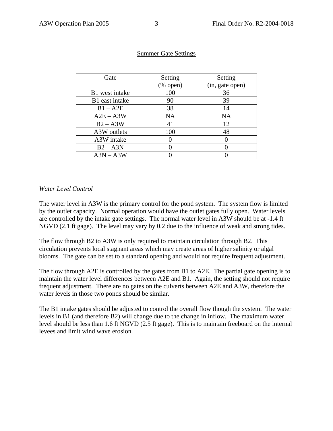| Gate           | Setting                   | Setting         |
|----------------|---------------------------|-----------------|
|                | $(% \mathbf{A})$ (% open) | (in, gate open) |
| B1 west intake | 100                       | 36              |
| B1 east intake | 90                        | 39              |
| $B1 - A2E$     | 38                        | 14              |
| $A2E - A3W$    | <b>NA</b>                 | NA              |
| $B2 - A3W$     | 41                        | 12              |
| A3W outlets    | 100                       | 48              |
| A3W intake     |                           |                 |
| $B2 - A3N$     |                           |                 |
| $A3N - A3W$    |                           |                 |

#### Summer Gate Settings

## *Water Level Control*

The water level in A3W is the primary control for the pond system. The system flow is limited by the outlet capacity. Normal operation would have the outlet gates fully open. Water levels are controlled by the intake gate settings. The normal water level in A3W should be at -1.4 ft NGVD (2.1 ft gage). The level may vary by 0.2 due to the influence of weak and strong tides.

The flow through B2 to A3W is only required to maintain circulation through B2. This circulation prevents local stagnant areas which may create areas of higher salinity or algal blooms. The gate can be set to a standard opening and would not require frequent adjustment.

The flow through A2E is controlled by the gates from B1 to A2E. The partial gate opening is to maintain the water level differences between A2E and B1. Again, the setting should not require frequent adjustment. There are no gates on the culverts between A2E and A3W, therefore the water levels in those two ponds should be similar.

The B1 intake gates should be adjusted to control the overall flow though the system. The water levels in B1 (and therefore B2) will change due to the change in inflow. The maximum water level should be less than 1.6 ft NGVD (2.5 ft gage). This is to maintain freeboard on the internal levees and limit wind wave erosion.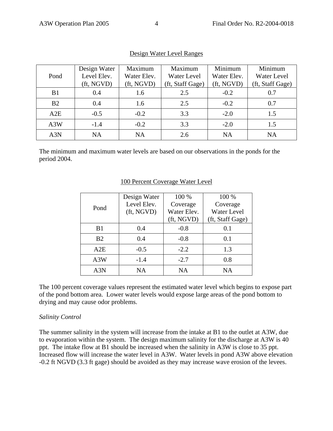| Pond           | Design Water<br>Level Elev.<br>$({\rm ft}, {\rm NGVD})$ | Maximum<br>Water Elev.<br>(ft, NGVD) | Maximum<br>Water Level<br>(ft, Staff Gage) | Minimum<br>Water Elev.<br>(ft, NGVD) | Minimum<br><b>Water Level</b><br>(ft, Staff Gage) |
|----------------|---------------------------------------------------------|--------------------------------------|--------------------------------------------|--------------------------------------|---------------------------------------------------|
| B <sub>1</sub> | 0.4                                                     | 1.6                                  | 2.5                                        | $-0.2$                               | 0.7                                               |
| B <sub>2</sub> | 0.4                                                     | 1.6                                  | 2.5                                        | $-0.2$                               | 0.7                                               |
| A2E            | $-0.5$                                                  | $-0.2$                               | 3.3                                        | $-2.0$                               | 1.5                                               |
| A3W            | $-1.4$                                                  | $-0.2$                               | 3.3                                        | $-2.0$                               | 1.5                                               |
| A3N            | <b>NA</b>                                               | <b>NA</b>                            | 2.6                                        | <b>NA</b>                            | <b>NA</b>                                         |

# Design Water Level Ranges

The minimum and maximum water levels are based on our observations in the ponds for the period 2004.

|                | Design Water | 100 %       | 100 %            |
|----------------|--------------|-------------|------------------|
| Pond           | Level Elev.  | Coverage    | Coverage         |
|                | (ft, NGVD)   | Water Elev. | Water Level      |
|                |              | (ft, NGVD)  | (ft, Staff Gage) |
| B1             | 0.4          | $-0.8$      | 0.1              |
| B <sub>2</sub> | 0.4          | $-0.8$      | 0.1              |
| A2E            | $-0.5$       | $-2.2$      | 1.3              |
| A3W            | $-1.4$       | $-2.7$      | 0.8              |
| A3N            | <b>NA</b>    | NA          | NA               |

#### 100 Percent Coverage Water Level

The 100 percent coverage values represent the estimated water level which begins to expose part of the pond bottom area. Lower water levels would expose large areas of the pond bottom to drying and may cause odor problems.

#### *Salinity Control*

The summer salinity in the system will increase from the intake at B1 to the outlet at A3W, due to evaporation within the system. The design maximum salinity for the discharge at A3W is 40 ppt. The intake flow at B1 should be increased when the salinity in A3W is close to 35 ppt. Increased flow will increase the water level in A3W. Water levels in pond A3W above elevation -0.2 ft NGVD (3.3 ft gage) should be avoided as they may increase wave erosion of the levees.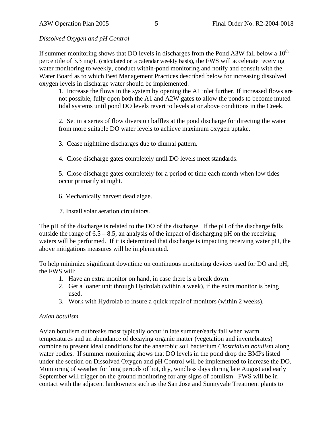*Dissolved Oxygen and pH Control* 

If summer monitoring shows that DO levels in discharges from the Pond A3W fall below a  $10<sup>th</sup>$ percentile of 3.3 mg/L (calculated on a calendar weekly basis), the FWS will accelerate receiving water monitoring to weekly, conduct within-pond monitoring and notify and consult with the Water Board as to which Best Management Practices described below for increasing dissolved oxygen levels in discharge water should be implemented:

1. Increase the flows in the system by opening the A1 inlet further. If increased flows are not possible, fully open both the A1 and A2W gates to allow the ponds to become muted tidal systems until pond DO levels revert to levels at or above conditions in the Creek.

2. Set in a series of flow diversion baffles at the pond discharge for directing the water from more suitable DO water levels to achieve maximum oxygen uptake.

3. Cease nighttime discharges due to diurnal pattern.

4. Close discharge gates completely until DO levels meet standards.

5. Close discharge gates completely for a period of time each month when low tides occur primarily at night.

6. Mechanically harvest dead algae.

7. Install solar aeration circulators.

The pH of the discharge is related to the DO of the discharge. If the pH of the discharge falls outside the range of  $6.5 - 8.5$ , an analysis of the impact of discharging pH on the receiving waters will be performed. If it is determined that discharge is impacting receiving water pH, the above mitigations measures will be implemented.

To help minimize significant downtime on continuous monitoring devices used for DO and pH, the FWS will:

- 1. Have an extra monitor on hand, in case there is a break down.
- 2. Get a loaner unit through Hydrolab (within a week), if the extra monitor is being used.
- 3. Work with Hydrolab to insure a quick repair of monitors (within 2 weeks).

# *Avian botulism*

Avian botulism outbreaks most typically occur in late summer/early fall when warm temperatures and an abundance of decaying organic matter (vegetation and invertebrates) combine to present ideal conditions for the anaerobic soil bacterium *Clostridium botulism* along water bodies. If summer monitoring shows that DO levels in the pond drop the BMPs listed under the section on Dissolved Oxygen and pH Control will be implemented to increase the DO. Monitoring of weather for long periods of hot, dry, windless days during late August and early September will trigger on the ground monitoring for any signs of botulism. FWS will be in contact with the adjacent landowners such as the San Jose and Sunnyvale Treatment plants to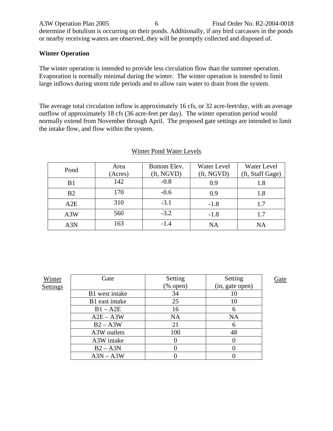A3W Operation Plan 2005 6 Final Order No. R2-2004-0018 determine if botulism is occurring on their ponds. Additionally, if any bird carcasses in the ponds or nearby receiving waters are observed, they will be promptly collected and disposed of.

# **Winter Operation**

The winter operation is intended to provide less circulation flow than the summer operation. Evaporation is normally minimal during the winter. The winter operation is intended to limit large inflows during storm tide periods and to allow rain water to drain from the system.

The average total circulation inflow is approximately 16 cfs, or 32 acre-feet/day, with an average outflow of approximately 18 cfs (36 acre-feet per day). The winter operation period would normally extend from November through April. The proposed gate settings are intended to limit the intake flow, and flow within the system.

| Pond           | Area<br>(Acres) | Bottom Elev.<br>(ft, NGVD) | Water Level<br>(ft, NGVD) | Water Level<br>(ft, Staff Gage) |
|----------------|-----------------|----------------------------|---------------------------|---------------------------------|
| B1             | 142             | $-0.8$                     | 0.9                       | 1.8                             |
| B <sub>2</sub> | 170             | $-0.6$                     | 0.9                       | 1.8                             |
| A2E            | 310             | $-3.1$                     | $-1.8$                    | 1.7                             |
| A3W            | 560             | $-3.2$                     | $-1.8$                    | 1.7                             |
| A3N            | 163             | $-1.4$                     | <b>NA</b>                 | NA                              |

#### Winter Pond Water Levels

| Winter   | Gate           | Setting     | Setting         | Gate |
|----------|----------------|-------------|-----------------|------|
| Settings |                | $(\%$ open) | (in, gate open) |      |
|          | B1 west intake | 34          | 10              |      |
|          | B1 east intake | 25          | 10              |      |
|          | $B1 - A2E$     | 16          | 6               |      |
|          | $A2E - A3W$    | <b>NA</b>   | <b>NA</b>       |      |
|          | $B2 - A3W$     | 21          | 6               |      |
|          | A3W outlets    | 100         | 48              |      |
|          | A3W intake     | O           |                 |      |
|          | $B2 - A3N$     |             |                 |      |
|          | $A3N - A3W$    |             |                 |      |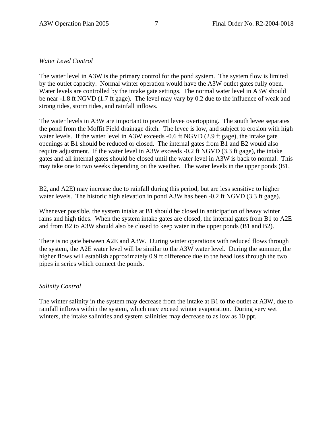# *Water Level Control*

The water level in A3W is the primary control for the pond system. The system flow is limited by the outlet capacity. Normal winter operation would have the A3W outlet gates fully open. Water levels are controlled by the intake gate settings. The normal water level in A3W should be near -1.8 ft NGVD (1.7 ft gage). The level may vary by 0.2 due to the influence of weak and strong tides, storm tides, and rainfall inflows.

The water levels in A3W are important to prevent levee overtopping. The south levee separates the pond from the Moffit Field drainage ditch. The levee is low, and subject to erosion with high water levels. If the water level in A3W exceeds -0.6 ft NGVD (2.9 ft gage), the intake gate openings at B1 should be reduced or closed. The internal gates from B1 and B2 would also require adjustment. If the water level in A3W exceeds -0.2 ft NGVD (3.3 ft gage), the intake gates and all internal gates should be closed until the water level in A3W is back to normal. This may take one to two weeks depending on the weather. The water levels in the upper ponds (B1,

B2, and A2E) may increase due to rainfall during this period, but are less sensitive to higher water levels. The historic high elevation in pond A3W has been -0.2 ft NGVD (3.3 ft gage).

Whenever possible, the system intake at B1 should be closed in anticipation of heavy winter rains and high tides. When the system intake gates are closed, the internal gates from B1 to A2E and from B2 to A3W should also be closed to keep water in the upper ponds (B1 and B2).

There is no gate between A2E and A3W. During winter operations with reduced flows through the system, the A2E water level will be similar to the A3W water level. During the summer, the higher flows will establish approximately 0.9 ft difference due to the head loss through the two pipes in series which connect the ponds.

#### *Salinity Control*

The winter salinity in the system may decrease from the intake at B1 to the outlet at A3W, due to rainfall inflows within the system, which may exceed winter evaporation. During very wet winters, the intake salinities and system salinities may decrease to as low as 10 ppt.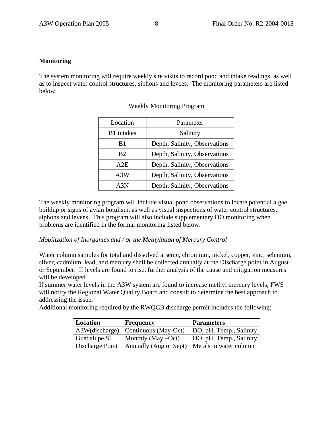#### **Monitoring**

The system monitoring will require weekly site visits to record pond and intake readings, as well as to inspect water control structures, siphons and levees. The monitoring parameters are listed below.

| Location       | Parameter                     |
|----------------|-------------------------------|
| B1 intakes     | Salinity                      |
| B1             | Depth, Salinity, Observations |
| B <sub>2</sub> | Depth, Salinity, Observations |
| A2E            | Depth, Salinity, Observations |
| A3W            | Depth, Salinity, Observations |
| A3N            | Depth, Salinity, Observations |

## Weekly Monitoring Program

The weekly monitoring program will include visual pond observations to locate potential algae buildup or signs of avian botulism, as well as visual inspections of water control structures, siphons and levees. This program will also include supplementary DO monitoring when problems are identified in the formal monitoring listed below.

#### *Mobilization of Inorganics and / or the Methylation of Mercury Control*

Water column samples for total and dissolved arsenic, chromium, nickel, copper, zinc, selenium, silver, cadmium, lead, and mercury shall be collected annually at the Discharge point in August or September. If levels are found to rise, further analysis of the cause and mitigation measures will be developed.

If summer water levels in the A3W system are found to increase methyl mercury levels, FWS will notify the Regional Water Quality Board and consult to determine the best approach to addressing the issue.

Additional monitoring required by the RWQCB discharge permit includes the following:

| Location      | Frequency                                                         | <b>Parameters</b>       |
|---------------|-------------------------------------------------------------------|-------------------------|
|               | A3W(discharge)   Continuous (May-Oct)                             | DO, pH, Temp., Salinity |
| Guadalupe.Sl. | Monthly (May $-Oct$ )                                             | DO, pH, Temp., Salinity |
|               | Discharge Point   Annually (Aug or Sept)   Metals in water column |                         |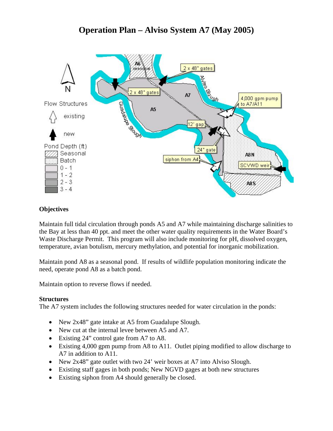# **Operation Plan – Alviso System A7 (May 2005)**



# **Objectives**

Maintain full tidal circulation through ponds A5 and A7 while maintaining discharge salinities to the Bay at less than 40 ppt. and meet the other water quality requirements in the Water Board's Waste Discharge Permit. This program will also include monitoring for pH, dissolved oxygen, temperature, avian botulism, mercury methylation, and potential for inorganic mobilization.

Maintain pond A8 as a seasonal pond. If results of wildlife population monitoring indicate the need, operate pond A8 as a batch pond.

Maintain option to reverse flows if needed.

#### **Structures**

The A7 system includes the following structures needed for water circulation in the ponds:

- New 2x48" gate intake at A5 from Guadalupe Slough.
- New cut at the internal levee between A5 and A7.
- Existing 24" control gate from A7 to A8.
- Existing 4,000 gpm pump from A8 to A11. Outlet piping modified to allow discharge to A7 in addition to A11.
- New 2x48" gate outlet with two 24' weir boxes at A7 into Alviso Slough.
- Existing staff gages in both ponds; New NGVD gages at both new structures
- Existing siphon from A4 should generally be closed.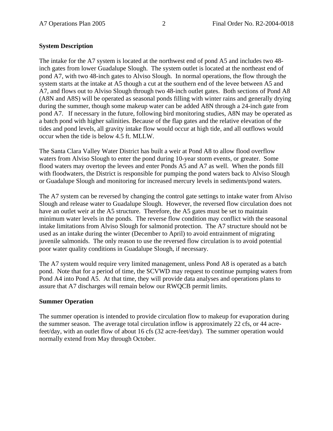# **System Description**

The intake for the A7 system is located at the northwest end of pond A5 and includes two 48 inch gates from lower Guadalupe Slough. The system outlet is located at the northeast end of pond A7, with two 48-inch gates to Alviso Slough. In normal operations, the flow through the system starts at the intake at A5 though a cut at the southern end of the levee between A5 and A7, and flows out to Alviso Slough through two 48-inch outlet gates. Both sections of Pond A8 (A8N and A8S) will be operated as seasonal ponds filling with winter rains and generally drying during the summer, though some makeup water can be added A8N through a 24-inch gate from pond A7. If necessary in the future, following bird monitoring studies, A8N may be operated as a batch pond with higher salinities. Because of the flap gates and the relative elevation of the tides and pond levels, all gravity intake flow would occur at high tide, and all outflows would occur when the tide is below 4.5 ft. MLLW.

The Santa Clara Valley Water District has built a weir at Pond A8 to allow flood overflow waters from Alviso Slough to enter the pond during 10-year storm events, or greater. Some flood waters may overtop the levees and enter Ponds A5 and A7 as well. When the ponds fill with floodwaters, the District is responsible for pumping the pond waters back to Alviso Slough or Guadalupe Slough and monitoring for increased mercury levels in sediments/pond waters.

The A7 system can be reversed by changing the control gate settings to intake water from Alviso Slough and release water to Guadalupe Slough. However, the reversed flow circulation does not have an outlet weir at the A5 structure. Therefore, the A5 gates must be set to maintain minimum water levels in the ponds. The reverse flow condition may conflict with the seasonal intake limitations from Alviso Slough for salmonid protection. The A7 structure should not be used as an intake during the winter (December to April) to avoid entrainment of migrating juvenile salmonids. The only reason to use the reversed flow circulation is to avoid potential poor water quality conditions in Guadalupe Slough, if necessary.

The A7 system would require very limited management, unless Pond A8 is operated as a batch pond. Note that for a period of time, the SCVWD may request to continue pumping waters from Pond A4 into Pond A5. At that time, they will provide data analyses and operations plans to assure that A7 discharges will remain below our RWQCB permit limits.

#### **Summer Operation**

The summer operation is intended to provide circulation flow to makeup for evaporation during the summer season. The average total circulation inflow is approximately 22 cfs, or 44 acrefeet/day, with an outlet flow of about 16 cfs (32 acre-feet/day). The summer operation would normally extend from May through October.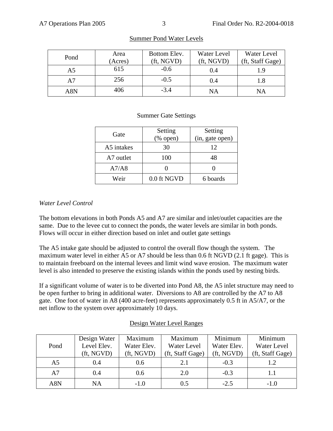| Pond | Area    | Bottom Elev. | Water Level | Water Level      |
|------|---------|--------------|-------------|------------------|
|      | (Acres) | (ft, NGVD)   | (ft, NGVD)  | (ft, Staff Gage) |
| A5   | 615     | $-0.6$       | 0.4         |                  |
| A7   | 256     | $-0.5$       | (0.4)       |                  |
| A8N  | 406     | $-3.4$       | ΝA          | NΑ               |

# Summer Pond Water Levels

## Summer Gate Settings

| Gate       | Setting                                | Setting         |  |
|------------|----------------------------------------|-----------------|--|
|            | $(% \mathcal{L}_{0}^{\infty}$ (% open) | (in, gate open) |  |
| A5 intakes | 30                                     | 12              |  |
| A7 outlet  | 100                                    | 48              |  |
| A7/A8      |                                        |                 |  |
| Weir       | 0.0 ft NGVD                            | 6 boards        |  |

## *Water Level Control*

The bottom elevations in both Ponds A5 and A7 are similar and inlet/outlet capacities are the same. Due to the levee cut to connect the ponds, the water levels are similar in both ponds. Flows will occur in either direction based on inlet and outlet gate settings

The A5 intake gate should be adjusted to control the overall flow though the system. The maximum water level in either A5 or A7 should be less than 0.6 ft NGVD (2.1 ft gage). This is to maintain freeboard on the internal levees and limit wind wave erosion. The maximum water level is also intended to preserve the existing islands within the ponds used by nesting birds.

If a significant volume of water is to be diverted into Pond A8, the A5 inlet structure may need to be open further to bring in additional water. Diversions to A8 are controlled by the A7 to A8 gate. One foot of water in A8 (400 acre-feet) represents approximately 0.5 ft in A5/A7, or the net inflow to the system over approximately 10 days.

|                | Design Water             | Maximum       | Maximum          | Minimum     | Minimum          |
|----------------|--------------------------|---------------|------------------|-------------|------------------|
| Pond           | Level Elev.              | Water Elev.   | Water Level      | Water Elev. | Water Level      |
|                | $({\rm ft}, {\rm NGVD})$ | (ft, NGVD)    | (ft, Staff Gage) | (ft, NGVD)  | (ft, Staff Gage) |
| A <sub>5</sub> | 0.4                      | $0.6^{\circ}$ | 2.1              | $-0.3$      | 1.2              |
| A7             | 0.4                      | 0.6           | 2.0              | $-0.3$      | 1.1              |
| A8N            | NA                       | $-1.0$        | 0.5              | $-2.5$      | $-1.0$           |

# Design Water Level Ranges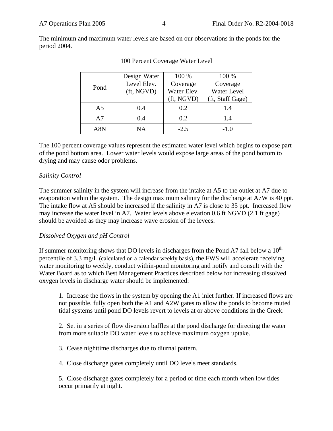The minimum and maximum water levels are based on our observations in the ponds for the period 2004.

| Pond           | Design Water<br>Level Elev.<br>(ft, NGVD) | 100 %<br>Coverage<br>Water Elev.<br>(ft, NGVD) | 100 %<br>Coverage<br>Water Level<br>(ft, Staff Gage) |
|----------------|-------------------------------------------|------------------------------------------------|------------------------------------------------------|
| A <sub>5</sub> | 0.4                                       | 0.2                                            | 1.4                                                  |
| A7             | 0.4                                       | 0.2                                            | 1.4                                                  |
| A8N            | ΝA                                        | $-2.5$                                         | $-1.0$                                               |

|  | 100 Percent Coverage Water Level |  |
|--|----------------------------------|--|
|  |                                  |  |

The 100 percent coverage values represent the estimated water level which begins to expose part of the pond bottom area. Lower water levels would expose large areas of the pond bottom to drying and may cause odor problems.

#### *Salinity Control*

The summer salinity in the system will increase from the intake at A5 to the outlet at A7 due to evaporation within the system. The design maximum salinity for the discharge at A7W is 40 ppt. The intake flow at A5 should be increased if the salinity in A7 is close to 35 ppt. Increased flow may increase the water level in A7. Water levels above elevation 0.6 ft NGVD (2.1 ft gage) should be avoided as they may increase wave erosion of the levees.

#### *Dissolved Oxygen and pH Control*

If summer monitoring shows that DO levels in discharges from the Pond A7 fall below a  $10<sup>th</sup>$ percentile of 3.3 mg/L (calculated on a calendar weekly basis), the FWS will accelerate receiving water monitoring to weekly, conduct within-pond monitoring and notify and consult with the Water Board as to which Best Management Practices described below for increasing dissolved oxygen levels in discharge water should be implemented:

1. Increase the flows in the system by opening the A1 inlet further. If increased flows are not possible, fully open both the A1 and A2W gates to allow the ponds to become muted tidal systems until pond DO levels revert to levels at or above conditions in the Creek.

2. Set in a series of flow diversion baffles at the pond discharge for directing the water from more suitable DO water levels to achieve maximum oxygen uptake.

3. Cease nighttime discharges due to diurnal pattern.

4. Close discharge gates completely until DO levels meet standards.

5. Close discharge gates completely for a period of time each month when low tides occur primarily at night.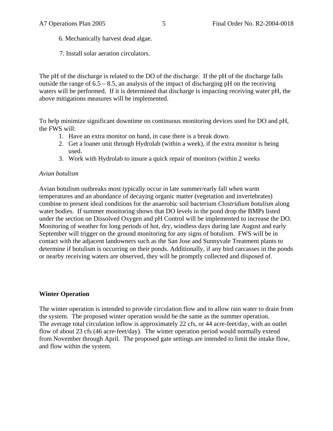- 6. Mechanically harvest dead algae.
- 7. Install solar aeration circulators.

The pH of the discharge is related to the DO of the discharge. If the pH of the discharge falls outside the range of  $6.5 - 8.5$ , an analysis of the impact of discharging pH on the receiving waters will be performed. If it is determined that discharge is impacting receiving water pH, the above mitigations measures will be implemented.

To help minimize significant downtime on continuous monitoring devices used for DO and pH, the FWS will:

- 1. Have an extra monitor on hand, in case there is a break down.
- 2. Get a loaner unit through Hydrolab (within a week), if the extra monitor is being used.
- 3. Work with Hydrolab to insure a quick repair of monitors (within 2 weeks

#### *Avian botulism*

Avian botulism outbreaks most typically occur in late summer/early fall when warm temperatures and an abundance of decaying organic matter (vegetation and invertebrates) combine to present ideal conditions for the anaerobic soil bacterium *Clostridium botulism* along water bodies. If summer monitoring shows that DO levels in the pond drop the BMPs listed under the section on Dissolved Oxygen and pH Control will be implemented to increase the DO. Monitoring of weather for long periods of hot, dry, windless days during late August and early September will trigger on the ground monitoring for any signs of botulism. FWS will be in contact with the adjacent landowners such as the San Jose and Sunnyvale Treatment plants to determine if botulism is occurring on their ponds. Additionally, if any bird carcasses in the ponds or nearby receiving waters are observed, they will be promptly collected and disposed of.

#### **Winter Operation**

The winter operation is intended to provide circulation flow and to allow rain water to drain from the system. The proposed winter operation would be the same as the summer operation. The average total circulation inflow is approximately 22 cfs, or 44 acre-feet/day, with an outlet flow of about 23 cfs (46 acre-feet/day). The winter operation period would normally extend from November through April. The proposed gate settings are intended to limit the intake flow, and flow within the system.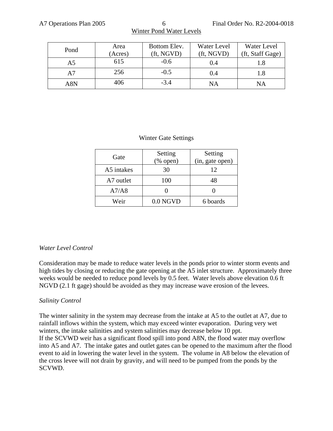| Pond | Area    | Bottom Elev. | Water Level | Water Level      |
|------|---------|--------------|-------------|------------------|
|      | (Acres) | (ft, NGVD)   | (ft, NGVD)  | (ft, Staff Gage) |
| A5   | 615     | $-0.6$       | 0.4         |                  |
| A7   | 256     | $-0.5$       | 0.4         |                  |
| A8N  | 406     | $-3.4$       | NA          | NA               |

# Winter Pond Water Levels

#### Winter Gate Settings

| Gate       | Setting<br>$(\%$ open) | Setting<br>(in, gate open) |
|------------|------------------------|----------------------------|
|            |                        |                            |
| A5 intakes | 30                     | 12                         |
| A7 outlet  | 100                    | 48                         |
| A7/A8      |                        |                            |
| Weir       | $0.0$ NGVD             | 6 boards                   |

#### *Water Level Control*

Consideration may be made to reduce water levels in the ponds prior to winter storm events and high tides by closing or reducing the gate opening at the A5 inlet structure. Approximately three weeks would be needed to reduce pond levels by 0.5 feet. Water levels above elevation 0.6 ft NGVD (2.1 ft gage) should be avoided as they may increase wave erosion of the levees.

#### *Salinity Control*

The winter salinity in the system may decrease from the intake at A5 to the outlet at A7, due to rainfall inflows within the system, which may exceed winter evaporation. During very wet winters, the intake salinities and system salinities may decrease below 10 ppt. If the SCVWD weir has a significant flood spill into pond A8N, the flood water may overflow into A5 and A7. The intake gates and outlet gates can be opened to the maximum after the flood event to aid in lowering the water level in the system. The volume in A8 below the elevation of the cross levee will not drain by gravity, and will need to be pumped from the ponds by the SCVWD.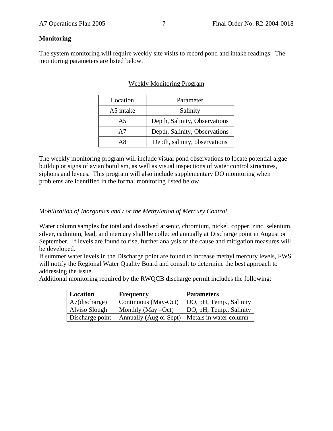# **Monitoring**

The system monitoring will require weekly site visits to record pond and intake readings. The monitoring parameters are listed below.

# Weekly Monitoring Program

| Location       | Parameter                     |
|----------------|-------------------------------|
| A5 intake      | Salinity                      |
| A <sub>5</sub> | Depth, Salinity, Observations |
| A7             | Depth, Salinity, Observations |
| ΑR             | Depth, salinity, observations |

The weekly monitoring program will include visual pond observations to locate potential algae buildup or signs of avian botulism, as well as visual inspections of water control structures, siphons and levees. This program will also include supplementary DO monitoring when problems are identified in the formal monitoring listed below.

# *Mobilization of Inorganics and / or the Methylation of Mercury Control*

Water column samples for total and dissolved arsenic, chromium, nickel, copper, zinc, selenium, silver, cadmium, lead, and mercury shall be collected annually at Discharge point in August or September. If levels are found to rise, further analysis of the cause and mitigation measures will be developed.

If summer water levels in the Discharge point are found to increase methyl mercury levels, FWS will notify the Regional Water Quality Board and consult to determine the best approach to addressing the issue.

Additional monitoring required by the RWQCB discharge permit includes the following:

| Location        | <b>Frequency</b>      | <b>Parameters</b>                               |
|-----------------|-----------------------|-------------------------------------------------|
| A7(discharge)   | Continuous (May-Oct)  | DO, pH, Temp., Salinity                         |
| Alviso Slough   | Monthly (May $-Oct$ ) | DO, pH, Temp., Salinity                         |
| Discharge point |                       | Annually (Aug or Sept)   Metals in water column |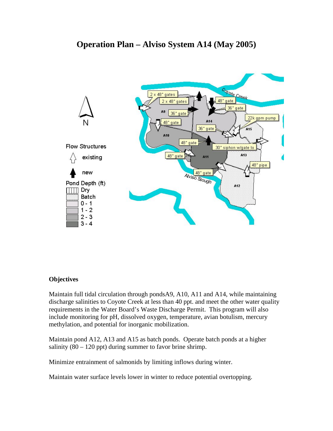# **Operation Plan – Alviso System A14 (May 2005)**



# **Objectives**

Maintain full tidal circulation through pondsA9, A10, A11 and A14, while maintaining discharge salinities to Coyote Creek at less than 40 ppt. and meet the other water quality requirements in the Water Board's Waste Discharge Permit. This program will also include monitoring for pH, dissolved oxygen, temperature, avian botulism, mercury methylation, and potential for inorganic mobilization.

Maintain pond A12, A13 and A15 as batch ponds. Operate batch ponds at a higher salinity  $(80 - 120$  ppt) during summer to favor brine shrimp.

Minimize entrainment of salmonids by limiting inflows during winter.

Maintain water surface levels lower in winter to reduce potential overtopping.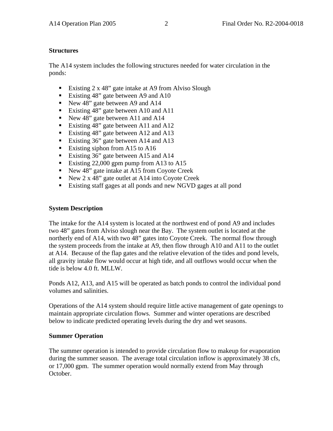# **Structures**

The A14 system includes the following structures needed for water circulation in the ponds:

- Existing 2 x 48" gate intake at A9 from Alviso Slough
- Existing 48" gate between A9 and A10
- New 48" gate between A9 and A14
- Existing 48" gate between A10 and A11
- New 48" gate between A11 and A14
- Existing 48" gate between A11 and A12
- Existing 48" gate between A12 and A13
- Existing 36" gate between A14 and A13
- Existing siphon from A15 to A16
- Existing 36" gate between A15 and A14
- Existing 22,000 gpm pump from A13 to A15
- New 48" gate intake at A15 from Coyote Creek
- New 2 x 48" gate outlet at A14 into Coyote Creek
- Existing staff gages at all ponds and new NGVD gages at all pond

# **System Description**

The intake for the A14 system is located at the northwest end of pond A9 and includes two 48" gates from Alviso slough near the Bay. The system outlet is located at the northerly end of A14, with two 48" gates into Coyote Creek. The normal flow through the system proceeds from the intake at A9, then flow through A10 and A11 to the outlet at A14. Because of the flap gates and the relative elevation of the tides and pond levels, all gravity intake flow would occur at high tide, and all outflows would occur when the tide is below 4.0 ft. MLLW.

Ponds A12, A13, and A15 will be operated as batch ponds to control the individual pond volumes and salinities.

Operations of the A14 system should require little active management of gate openings to maintain appropriate circulation flows. Summer and winter operations are described below to indicate predicted operating levels during the dry and wet seasons.

# **Summer Operation**

The summer operation is intended to provide circulation flow to makeup for evaporation during the summer season. The average total circulation inflow is approximately 38 cfs, or 17,000 gpm. The summer operation would normally extend from May through October.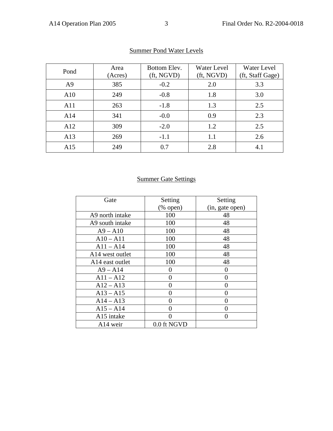| Pond           | Area    | Bottom Elev.             | Water Level              | Water Level      |
|----------------|---------|--------------------------|--------------------------|------------------|
|                | (Acres) | $({\rm ft}, {\rm NGVD})$ | $({\rm ft}, {\rm NGVD})$ | (ft, Staff Gage) |
| A <sup>9</sup> | 385     | $-0.2$                   | 2.0                      | 3.3              |
| A10            | 249     | $-0.8$                   | 1.8                      | 3.0              |
| A11            | 263     | $-1.8$                   | 1.3                      | 2.5              |
| A14            | 341     | $-0.0$                   | 0.9                      | 2.3              |
| A12            | 309     | $-2.0$                   | 1.2                      | 2.5              |
| A13            | 269     | $-1.1$                   | 1.1                      | 2.6              |
| A15            | 249     | 0.7                      | 2.8                      | 4.1              |

# Summer Pond Water Levels

# Summer Gate Settings

| Gate                        | Setting           | Setting         |
|-----------------------------|-------------------|-----------------|
|                             | $(\%$ open)       | (in, gate open) |
| A9 north intake             | 100               | 48              |
| A9 south intake             | 100               | 48              |
| $A9 - A10$                  | 100               | 48              |
| $A10 - A11$                 | 100               | 48              |
| $A11 - A14$                 | 100               | 48              |
| A14 west outlet             | 100               | 48              |
| A <sub>14</sub> east outlet | 100               | 48              |
| $A9 - A14$                  | 0                 | 0               |
| $A11 - A12$                 | $\mathbf{\Omega}$ | 0               |
| $A12 - A13$                 |                   |                 |
| $A13 - A15$                 |                   |                 |
| $A14 - A13$                 |                   |                 |
| $A15 - A14$                 |                   |                 |
| A15 intake                  |                   |                 |
| A <sub>14</sub> weir        | 0.0 ft NGVD       |                 |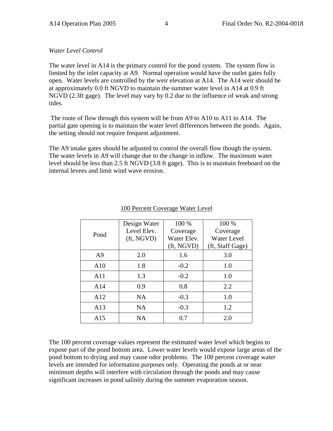*Water Level Control* 

The water level in A14 is the primary control for the pond system. The system flow is limited by the inlet capacity at A9. Normal operation would have the outlet gates fully open. Water levels are controlled by the weir elevation at A14. The A14 weir should be at approximately 0.0 ft NGVD to maintain the summer water level in A14 at 0.9 ft NGVD (2.3ft gage). The level may vary by 0.2 due to the influence of weak and strong tides.

 The route of flow through this system will be from A9 to A10 to A11 to A14. The partial gate opening is to maintain the water level differences between the ponds. Again, the setting should not require frequent adjustment.

The A9 intake gates should be adjusted to control the overall flow though the system. The water levels in A9 will change due to the change in inflow. The maximum water level should be less than 2.5 ft NGVD (3.8 ft gage). This is to maintain freeboard on the internal levees and limit wind wave erosion.

| Pond           | Design Water<br>Level Elev.<br>(ft, NGVD) | 100 %<br>Coverage<br>Water Elev. | 100 %<br>Coverage<br><b>Water Level</b> |
|----------------|-------------------------------------------|----------------------------------|-----------------------------------------|
|                |                                           | (ft, NGVD)                       | (ft, Staff Gage)                        |
| A <sup>9</sup> | 2.0                                       | 1.6                              | 3.0                                     |
| A10            | 1.8                                       | $-0.2$                           | 1.0                                     |
| A11            | 1.3                                       | $-0.2$                           | 1.0                                     |
| A14            | 0.9                                       | 0.8                              | 2.2                                     |
| A12            | <b>NA</b>                                 | $-0.3$                           | 1.0                                     |
| A13            | <b>NA</b>                                 | $-0.3$                           | 1.2                                     |
| A15            | <b>NA</b>                                 | 0.7                              | 2.0                                     |

## 100 Percent Coverage Water Level

The 100 percent coverage values represent the estimated water level which begins to expose part of the pond bottom area. Lower water levels would expose large areas of the pond bottom to drying and may cause odor problems. The 100 percent coverage water levels are intended for information purposes only. Operating the ponds at or near minimum depths will interfere with circulation through the ponds and may cause significant increases in pond salinity during the summer evaporation season.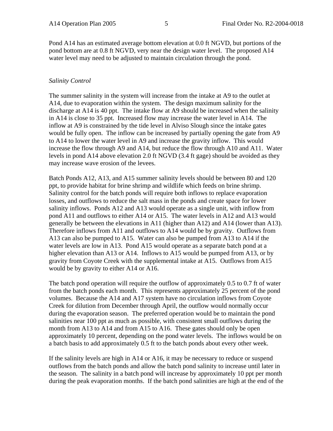Pond A14 has an estimated average bottom elevation at 0.0 ft NGVD, but portions of the pond bottom are at 0.8 ft NGVD, very near the design water level. The proposed A14 water level may need to be adjusted to maintain circulation through the pond.

# *Salinity Control*

The summer salinity in the system will increase from the intake at A9 to the outlet at A14, due to evaporation within the system. The design maximum salinity for the discharge at A14 is 40 ppt. The intake flow at A9 should be increased when the salinity in A14 is close to 35 ppt. Increased flow may increase the water level in A14. The inflow at A9 is constrained by the tide level in Alviso Slough since the intake gates would be fully open. The inflow can be increased by partially opening the gate from A9 to A14 to lower the water level in A9 and increase the gravity inflow. This would increase the flow through A9 and A14, but reduce the flow through A10 and A11. Water levels in pond A14 above elevation 2.0 ft NGVD (3.4 ft gage) should be avoided as they may increase wave erosion of the levees.

Batch Ponds A12, A13, and A15 summer salinity levels should be between 80 and 120 ppt, to provide habitat for brine shrimp and wildlife which feeds on brine shrimp. Salinity control for the batch ponds will require both inflows to replace evaporation losses, and outflows to reduce the salt mass in the ponds and create space for lower salinity inflows. Ponds A12 and A13 would operate as a single unit, with inflow from pond A11 and outflows to either A14 or A15. The water levels in A12 and A13 would generally be between the elevations in A11 (higher than A12) and A14 (lower than A13). Therefore inflows from A11 and outflows to A14 would be by gravity. Outflows from A13 can also be pumped to A15. Water can also be pumped from A13 to A14 if the water levels are low in A13. Pond A15 would operate as a separate batch pond at a higher elevation than A13 or A14. Inflows to A15 would be pumped from A13, or by gravity from Coyote Creek with the supplemental intake at A15. Outflows from A15 would be by gravity to either A14 or A16.

The batch pond operation will require the outflow of approximately 0.5 to 0.7 ft of water from the batch ponds each month. This represents approximately 25 percent of the pond volumes. Because the A14 and A17 system have no circulation inflows from Coyote Creek for dilution from December through April, the outflow would normally occur during the evaporation season. The preferred operation would be to maintain the pond salinities near 100 ppt as much as possible, with consistent small outflows during the month from A13 to A14 and from A15 to A16. These gates should only be open approximately 10 percent, depending on the pond water levels. The inflows would be on a batch basis to add approximately 0.5 ft to the batch ponds about every other week.

If the salinity levels are high in A14 or A16, it may be necessary to reduce or suspend outflows from the batch ponds and allow the batch pond salinity to increase until later in the season. The salinity in a batch pond will increase by approximately 10 ppt per month during the peak evaporation months. If the batch pond salinities are high at the end of the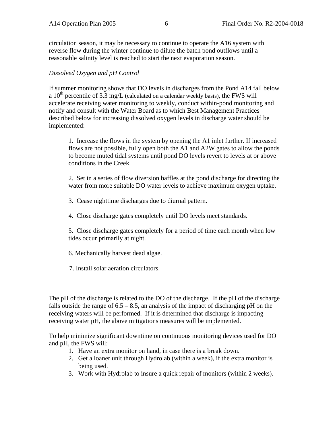circulation season, it may be necessary to continue to operate the A16 system with reverse flow during the winter continue to dilute the batch pond outflows until a reasonable salinity level is reached to start the next evaporation season.

#### *Dissolved Oxygen and pH Control*

If summer monitoring shows that DO levels in discharges from the Pond A14 fall below a  $10^{th}$  percentile of 3.3 mg/L (calculated on a calendar weekly basis), the FWS will accelerate receiving water monitoring to weekly, conduct within-pond monitoring and notify and consult with the Water Board as to which Best Management Practices described below for increasing dissolved oxygen levels in discharge water should be implemented:

1. Increase the flows in the system by opening the A1 inlet further. If increased flows are not possible, fully open both the A1 and A2W gates to allow the ponds to become muted tidal systems until pond DO levels revert to levels at or above conditions in the Creek.

2. Set in a series of flow diversion baffles at the pond discharge for directing the water from more suitable DO water levels to achieve maximum oxygen uptake.

3. Cease nighttime discharges due to diurnal pattern.

4. Close discharge gates completely until DO levels meet standards.

5. Close discharge gates completely for a period of time each month when low tides occur primarily at night.

6. Mechanically harvest dead algae.

7. Install solar aeration circulators.

The pH of the discharge is related to the DO of the discharge. If the pH of the discharge falls outside the range of  $6.5 - 8.5$ , an analysis of the impact of discharging pH on the receiving waters will be performed. If it is determined that discharge is impacting receiving water pH, the above mitigations measures will be implemented.

To help minimize significant downtime on continuous monitoring devices used for DO and pH, the FWS will:

- 1. Have an extra monitor on hand, in case there is a break down.
- 2. Get a loaner unit through Hydrolab (within a week), if the extra monitor is being used.
- 3. Work with Hydrolab to insure a quick repair of monitors (within 2 weeks).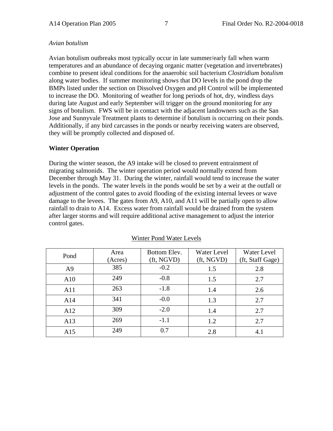#### *Avian botulism*

Avian botulism outbreaks most typically occur in late summer/early fall when warm temperatures and an abundance of decaying organic matter (vegetation and invertebrates) combine to present ideal conditions for the anaerobic soil bacterium *Clostridium botulism*  along water bodies. If summer monitoring shows that DO levels in the pond drop the BMPs listed under the section on Dissolved Oxygen and pH Control will be implemented to increase the DO. Monitoring of weather for long periods of hot, dry, windless days during late August and early September will trigger on the ground monitoring for any signs of botulism. FWS will be in contact with the adjacent landowners such as the San Jose and Sunnyvale Treatment plants to determine if botulism is occurring on their ponds. Additionally, if any bird carcasses in the ponds or nearby receiving waters are observed, they will be promptly collected and disposed of.

## **Winter Operation**

During the winter season, the A9 intake will be closed to prevent entrainment of migrating salmonids. The winter operation period would normally extend from December through May 31. During the winter, rainfall would tend to increase the water levels in the ponds. The water levels in the ponds would be set by a weir at the outfall or adjustment of the control gates to avoid flooding of the existing internal levees or wave damage to the levees. The gates from A9, A10, and A11 will be partially open to allow rainfall to drain to A14. Excess water from rainfall would be drained from the system after larger storms and will require additional active management to adjust the interior control gates.

| Pond           | Area<br>(Acres) | Bottom Elev.<br>$({\rm ft}, {\rm NGVD})$ | Water Level<br>$({\rm ft}, {\rm NGVD})$ | Water Level<br>(ft, Staff Gage) |
|----------------|-----------------|------------------------------------------|-----------------------------------------|---------------------------------|
| A <sup>9</sup> | 385             | $-0.2$                                   | 1.5                                     | 2.8                             |
| A10            | 249             | $-0.8$                                   | 1.5                                     | 2.7                             |
| A11            | 263             | $-1.8$                                   | 1.4                                     | 2.6                             |
| A14            | 341             | $-0.0$                                   | 1.3                                     | 2.7                             |
| A12            | 309             | $-2.0$                                   | 1.4                                     | 2.7                             |
| A13            | 269             | $-1.1$                                   | 1.2                                     | 2.7                             |
| A15            | 249             | 0.7                                      | 2.8                                     | 4.1                             |

#### Winter Pond Water Levels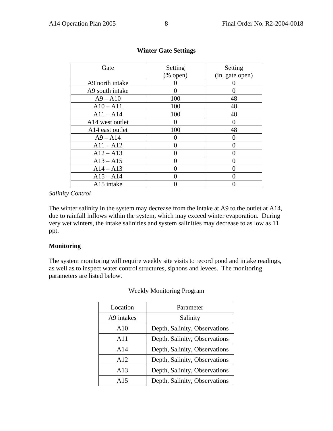| Gate                        | Setting                   | Setting         |
|-----------------------------|---------------------------|-----------------|
|                             | $(% \mathbf{A})$ (% open) | (in, gate open) |
| A9 north intake             |                           |                 |
| A9 south intake             | $\mathcal{O}$             |                 |
| $A9 - A10$                  | 100                       | 48              |
| $A10 - A11$                 | 100                       | 48              |
| $A11 - A14$                 | 100                       | 48              |
| A14 west outlet             |                           |                 |
| A <sub>14</sub> east outlet | 100                       | 48              |
| $A9 - A14$                  |                           |                 |
| $A11 - A12$                 | 0                         |                 |
| $A12 - A13$                 | 0                         |                 |
| $A13 - A15$                 |                           |                 |
| $A14 - A13$                 |                           |                 |
| $A15 - A14$                 |                           |                 |
| A15 intake                  |                           |                 |

# **Winter Gate Settings**

#### *Salinity Control*

The winter salinity in the system may decrease from the intake at A9 to the outlet at A14, due to rainfall inflows within the system, which may exceed winter evaporation. During very wet winters, the intake salinities and system salinities may decrease to as low as 11 ppt.

#### **Monitoring**

The system monitoring will require weekly site visits to record pond and intake readings, as well as to inspect water control structures, siphons and levees. The monitoring parameters are listed below.

| Location   | Parameter                     |
|------------|-------------------------------|
| A9 intakes | Salinity                      |
| A10        | Depth, Salinity, Observations |
| A11        | Depth, Salinity, Observations |
| A14        | Depth, Salinity, Observations |
| A12        | Depth, Salinity, Observations |
| A13        | Depth, Salinity, Observations |
| A15        | Depth, Salinity, Observations |

#### Weekly Monitoring Program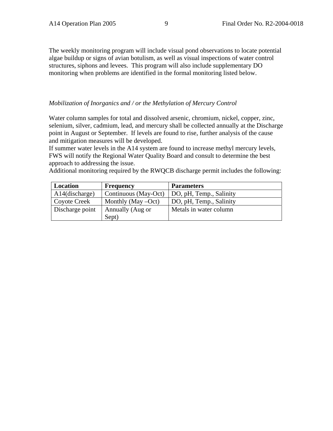The weekly monitoring program will include visual pond observations to locate potential algae buildup or signs of avian botulism, as well as visual inspections of water control structures, siphons and levees. This program will also include supplementary DO monitoring when problems are identified in the formal monitoring listed below.

#### *Mobilization of Inorganics and / or the Methylation of Mercury Control*

Water column samples for total and dissolved arsenic, chromium, nickel, copper, zinc, selenium, silver, cadmium, lead, and mercury shall be collected annually at the Discharge point in August or September. If levels are found to rise, further analysis of the cause and mitigation measures will be developed.

If summer water levels in the A14 system are found to increase methyl mercury levels, FWS will notify the Regional Water Quality Board and consult to determine the best approach to addressing the issue.

Additional monitoring required by the RWQCB discharge permit includes the following:

| Location          | <b>Frequency</b>      | <b>Parameters</b>       |
|-------------------|-----------------------|-------------------------|
| $A14$ (discharge) | Continuous (May-Oct)  | DO, pH, Temp., Salinity |
| Coyote Creek      | Monthly (May $-Oct$ ) | DO, pH, Temp., Salinity |
| Discharge point   | Annually (Aug or      | Metals in water column  |
|                   | Sept)                 |                         |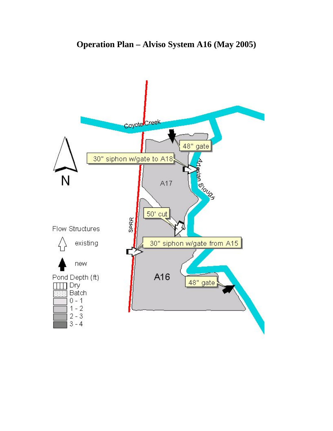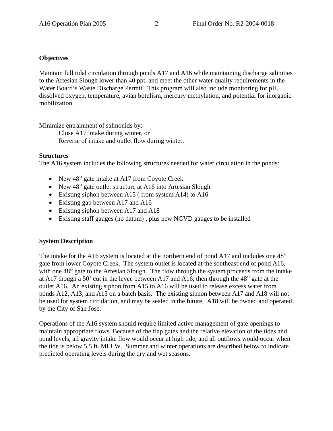# **Objectives**

Maintain full tidal circulation through ponds A17 and A16 while maintaining discharge salinities to the Artesian Slough lower than 40 ppt. and meet the other water quality requirements in the Water Board's Waste Discharge Permit. This program will also include monitoring for pH, dissolved oxygen, temperature, avian botulism, mercury methylation, and potential for inorganic mobilization.

Minimize entrainment of salmonids by:

 Close A17 intake during winter, or Reverse of intake and outlet flow during winter.

# **Structures**

The A16 system includes the following structures needed for water circulation in the ponds:

- New 48" gate intake at A17 from Coyote Creek
- New 48" gate outlet structure at A16 into Artesian Slough
- Existing siphon between A15 (from system A14) to A16
- Existing gap between A17 and A16
- Existing siphon between A17 and A18
- Existing staff gauges (no datum) , plus new NGVD gauges to be installed

# **System Description**

The intake for the A16 system is located at the northern end of pond A17 and includes one 48" gate from lower Coyote Creek. The system outlet is located at the southeast end of pond A16, with one 48" gate to the Artesian Slough. The flow through the system proceeds from the intake at A17 though a 50' cut in the levee between A17 and A16, then through the 48" gate at the outlet A16. An existing siphon from A15 to A16 will be used to release excess water from ponds A12, A13, and A15 on a batch basis. The existing siphon between A17 and A18 will not be used for system circulation, and may be sealed in the future. A18 will be owned and operated by the City of San Jose.

Operations of the A16 system should require limited active management of gate openings to maintain appropriate flows. Because of the flap gates and the relative elevation of the tides and pond levels, all gravity intake flow would occur at high tide, and all outflows would occur when the tide is below 5.5 ft. MLLW. Summer and winter operations are described below to indicate predicted operating levels during the dry and wet seasons.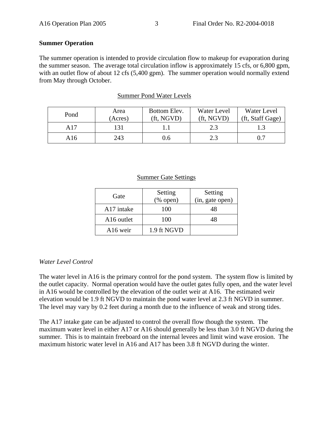#### **Summer Operation**

The summer operation is intended to provide circulation flow to makeup for evaporation during the summer season. The average total circulation inflow is approximately 15 cfs, or 6,800 gpm, with an outlet flow of about 12 cfs (5,400 gpm). The summer operation would normally extend from May through October.

| Pond | Area<br>(Acres) | Bottom Elev.<br>(ft. NGVD) | Water Level<br>(ft, NGVD) | Water Level<br>(ft, Staff Gage) |
|------|-----------------|----------------------------|---------------------------|---------------------------------|
| A17  |                 |                            | 2.3                       |                                 |
| A16  | 243             | J.O                        | 2.3                       |                                 |

#### Summer Pond Water Levels

#### Summer Gate Settings

| Gate                   | Setting<br>$(\%$ open) | Setting<br>(in, gate open) |
|------------------------|------------------------|----------------------------|
| A17 intake             | 100                    | 48                         |
| A <sub>16</sub> outlet | 100                    | 48                         |
| A <sub>16</sub> weir   | 1.9 ft NGVD            |                            |

#### *Water Level Control*

The water level in A16 is the primary control for the pond system. The system flow is limited by the outlet capacity. Normal operation would have the outlet gates fully open, and the water level in A16 would be controlled by the elevation of the outlet weir at A16. The estimated weir elevation would be 1.9 ft NGVD to maintain the pond water level at 2.3 ft NGVD in summer. The level may vary by 0.2 feet during a month due to the influence of weak and strong tides.

The A17 intake gate can be adjusted to control the overall flow though the system. The maximum water level in either A17 or A16 should generally be less than 3.0 ft NGVD during the summer. This is to maintain freeboard on the internal levees and limit wind wave erosion. The maximum historic water level in A16 and A17 has been 3.8 ft NGVD during the winter.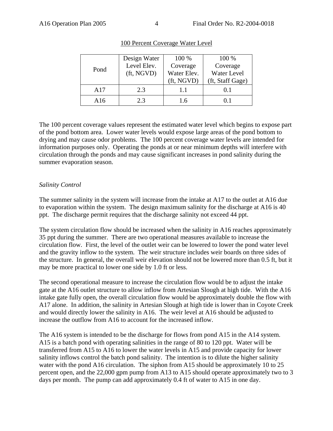|      | Design Water | 100 %       | 100 %              |
|------|--------------|-------------|--------------------|
| Pond | Level Elev.  | Coverage    | Coverage           |
|      | (ft, NGVD)   | Water Elev. | <b>Water Level</b> |
|      |              | (ft, NGVD)  | (ft, Staff Gage)   |
| A17  | 2.3          | 1.1         | 0.1                |
| A16  | 2.3          | 1.6         | 0.1                |

# 100 Percent Coverage Water Level

The 100 percent coverage values represent the estimated water level which begins to expose part of the pond bottom area. Lower water levels would expose large areas of the pond bottom to drying and may cause odor problems. The 100 percent coverage water levels are intended for information purposes only. Operating the ponds at or near minimum depths will interfere with circulation through the ponds and may cause significant increases in pond salinity during the summer evaporation season.

# *Salinity Control*

The summer salinity in the system will increase from the intake at A17 to the outlet at A16 due to evaporation within the system. The design maximum salinity for the discharge at A16 is 40 ppt. The discharge permit requires that the discharge salinity not exceed 44 ppt.

The system circulation flow should be increased when the salinity in A16 reaches approximately 35 ppt during the summer. There are two operational measures available to increase the circulation flow. First, the level of the outlet weir can be lowered to lower the pond water level and the gravity inflow to the system. The weir structure includes weir boards on three sides of the structure. In general, the overall weir elevation should not be lowered more than 0.5 ft, but it may be more practical to lower one side by 1.0 ft or less.

The second operational measure to increase the circulation flow would be to adjust the intake gate at the A16 outlet structure to allow inflow from Artesian Slough at high tide. With the A16 intake gate fully open, the overall circulation flow would be approximately double the flow with A17 alone. In addition, the salinity in Artesian Slough at high tide is lower than in Coyote Creek and would directly lower the salinity in A16. The weir level at A16 should be adjusted to increase the outflow from A16 to account for the increased inflow.

The A16 system is intended to be the discharge for flows from pond A15 in the A14 system. A15 is a batch pond with operating salinities in the range of 80 to 120 ppt. Water will be transferred from A15 to A16 to lower the water levels in A15 and provide capacity for lower salinity inflows control the batch pond salinity. The intention is to dilute the higher salinity water with the pond A16 circulation. The siphon from A15 should be approximately 10 to 25 percent open, and the 22,000 gpm pump from A13 to A15 should operate approximately two to 3 days per month. The pump can add approximately 0.4 ft of water to A15 in one day.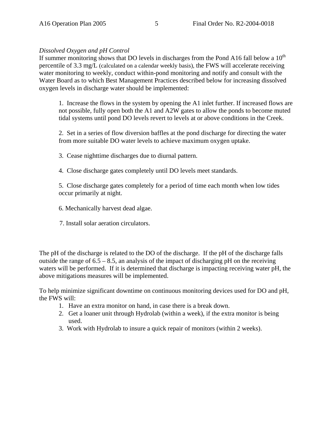## *Dissolved Oxygen and pH Control*

If summer monitoring shows that DO levels in discharges from the Pond A16 fall below a  $10<sup>th</sup>$ percentile of 3.3 mg/L (calculated on a calendar weekly basis), the FWS will accelerate receiving water monitoring to weekly, conduct within-pond monitoring and notify and consult with the Water Board as to which Best Management Practices described below for increasing dissolved oxygen levels in discharge water should be implemented:

1. Increase the flows in the system by opening the A1 inlet further. If increased flows are not possible, fully open both the A1 and A2W gates to allow the ponds to become muted tidal systems until pond DO levels revert to levels at or above conditions in the Creek.

2. Set in a series of flow diversion baffles at the pond discharge for directing the water from more suitable DO water levels to achieve maximum oxygen uptake.

3. Cease nighttime discharges due to diurnal pattern.

4. Close discharge gates completely until DO levels meet standards.

5. Close discharge gates completely for a period of time each month when low tides occur primarily at night.

- 6. Mechanically harvest dead algae.
- 7. Install solar aeration circulators.

The pH of the discharge is related to the DO of the discharge. If the pH of the discharge falls outside the range of  $6.5 - 8.5$ , an analysis of the impact of discharging pH on the receiving waters will be performed. If it is determined that discharge is impacting receiving water pH, the above mitigations measures will be implemented.

To help minimize significant downtime on continuous monitoring devices used for DO and pH, the FWS will:

- 1. Have an extra monitor on hand, in case there is a break down.
- 2. Get a loaner unit through Hydrolab (within a week), if the extra monitor is being used.
- 3. Work with Hydrolab to insure a quick repair of monitors (within 2 weeks).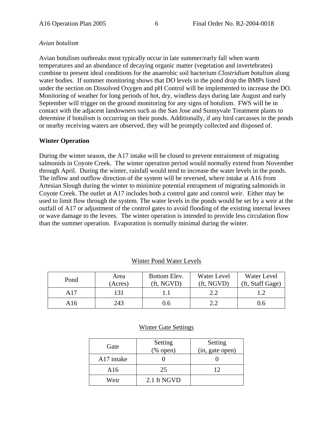# *Avian botulism*

Avian botulism outbreaks most typically occur in late summer/early fall when warm temperatures and an abundance of decaying organic matter (vegetation and invertebrates) combine to present ideal conditions for the anaerobic soil bacterium *Clostridium botulism* along water bodies. If summer monitoring shows that DO levels in the pond drop the BMPs listed under the section on Dissolved Oxygen and pH Control will be implemented to increase the DO. Monitoring of weather for long periods of hot, dry, windless days during late August and early September will trigger on the ground monitoring for any signs of botulism. FWS will be in contact with the adjacent landowners such as the San Jose and Sunnyvale Treatment plants to determine if botulism is occurring on their ponds. Additionally, if any bird carcasses in the ponds or nearby receiving waters are observed, they will be promptly collected and disposed of.

# **Winter Operation**

During the winter season, the A17 intake will be closed to prevent entrainment of migrating salmonids in Coyote Creek. The winter operation period would normally extend from November through April. During the winter, rainfall would tend to increase the water levels in the ponds. The inflow and outflow direction of the system will be reversed, where intake at A16 from Artesian Slough during the winter to minimize potential entrapment of migrating salmonids in Coyote Creek. The outlet at A17 includes both a control gate and control weir. Either may be used to limit flow through the system. The water levels in the ponds would be set by a weir at the outfall of A17 or adjustment of the control gates to avoid flooding of the existing internal levees or wave damage to the levees. The winter operation is intended to provide less circulation flow than the summer operation. Evaporation is normally minimal during the winter.

| Pond | Area<br>(Acres) | Bottom Elev.<br>(ft. NGVD) | Water Level<br>(ft. NGVD) | Water Level<br>(ft, Staff Gage) |
|------|-----------------|----------------------------|---------------------------|---------------------------------|
| A17  | 131             |                            |                           |                                 |
| A16  | 243             | J.6                        |                           | J.O                             |

#### Winter Pond Water Levels

## Winter Gate Settings

| Gate       | Setting<br>$(% \mathbf{A})$ (% open) | Setting<br>(in, gate open) |
|------------|--------------------------------------|----------------------------|
| A17 intake |                                      |                            |
| A16        | 25                                   | 12                         |
| Weir       | 2.1 ft NGVD                          |                            |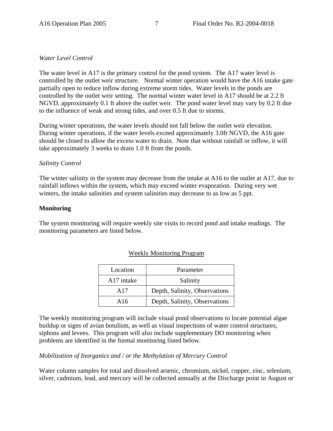# *Water Level Control*

The water level in A17 is the primary control for the pond system. The A17 water level is controlled by the outlet weir structure. Normal winter operation would have the A16 intake gate partially open to reduce inflow during extreme storm tides. Water levels in the ponds are controlled by the outlet weir setting. The normal winter water level in A17 should be at 2.2 ft NGVD, approximately 0.1 ft above the outlet weir. The pond water level may vary by 0.2 ft due to the influence of weak and strong tides, and over 0.5 ft due to storms.

During winter operations, the water levels should not fall below the outlet weir elevation. During winter operations, if the water levels exceed approximately 3.0ft NGVD, the A16 gate should be closed to allow the excess water to drain. Note that without rainfall or inflow, it will take approximately 3 weeks to drain 1.0 ft from the ponds.

#### *Salinity Control*

The winter salinity in the system may decrease from the intake at A16 to the outlet at A17, due to rainfall inflows within the system, which may exceed winter evaporation. During very wet winters, the intake salinities and system salinities may decrease to as low as 5 ppt.

#### **Monitoring**

The system monitoring will require weekly site visits to record pond and intake readings. The monitoring parameters are listed below.

| Location   | Parameter                     |  |
|------------|-------------------------------|--|
| A17 intake | Salinity                      |  |
| A17        | Depth, Salinity, Observations |  |
| A16        | Depth, Salinity, Observations |  |

#### Weekly Monitoring Program

The weekly monitoring program will include visual pond observations to locate potential algae buildup or signs of avian botulism, as well as visual inspections of water control structures, siphons and levees. This program will also include supplementary DO monitoring when problems are identified in the formal monitoring listed below.

#### *Mobilization of Inorganics and / or the Methylation of Mercury Control*

Water column samples for total and dissolved arsenic, chromium, nickel, copper, zinc, selenium, silver, cadmium, lead, and mercury will be collected annually at the Discharge point in August or